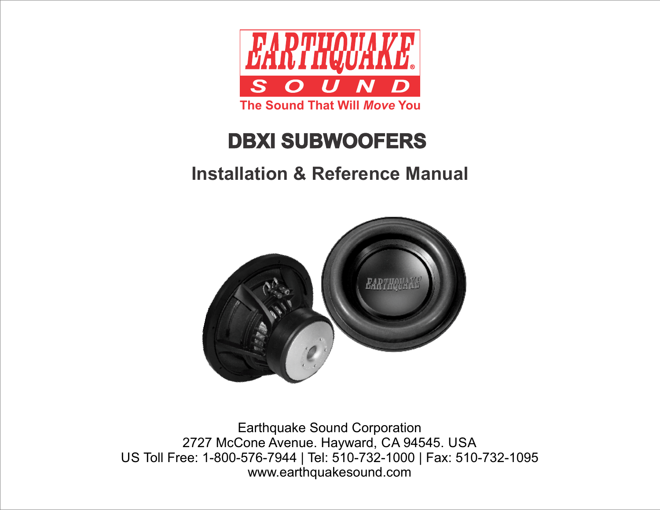

# **DBXI SUBWOOFERS**

# **Installation & Reference Manual**



Earthquake Sound Corporation 2727 McCone Avenue. Hayward, CA 94545. USA US Toll Free: 1-800-576-7944 | Tel: 510-732-1000 | Fax: 510-732-1095 www.earthquakesound.com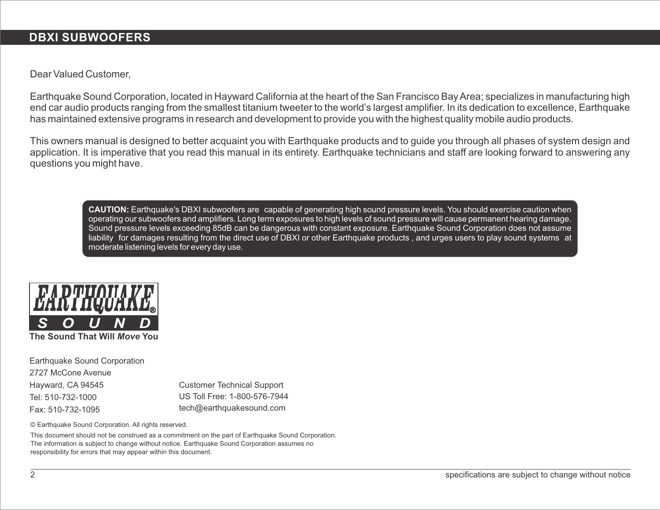### **DBXI SUBWOOFERS**

Dear Valued Customer,

Earthquake Sound Corporation, located in Hayward California at the heart of the San Francisco Bay Area; specializes in manufacturing high end car audio products ranging from the smallest titanium tweeter to the world's largest amplifier. In its dedication to excellence, Earthquake has maintained extensive programs in research and development to provide you with the highest quality mobile audio products.

This owners manual is designed to better acquaint you with Earthquake products and to guide you through all phases of system design and application. It is imperative that you read this manual in its entirety. Earthquake technicians and staff are looking forward to answering any questions you might have.

**CAUTION:** Earthquake's DBXI subwoofers are capable of generating high sound pressure levels. You should exercise caution when operating our subwoofers and amplifiers. Long term exposures to high levels of sound pressure will cause permanenthearing damage. Sound pressure levels exceeding 85dB can be dangerous with constant exposure. Earthquake Sound Corporation does not assume liability for damages resulting from the direct use of DBXI or other Earthquake products , and urges users to play sound systems at moderate listening levels for every day use.



**The Sound That Will** *Move* **You**

Earthquake Sound Corporation 2727 McCone Avenue Hayward, CA 94545 Tel: 510-732-1000 Fax: 510-732-1095

Customer Technical Support tech@earthquakesound.com US Toll Free: 1-800-576-7944

© Earthquake Sound Corporation. All rights reserved.

This document should not be construed as a commitment on the part of Earthquake Sound Corporation. The information is subject to change without notice. Earthquake Sound Corporation assumes no responsibility for errors that may appear within this document.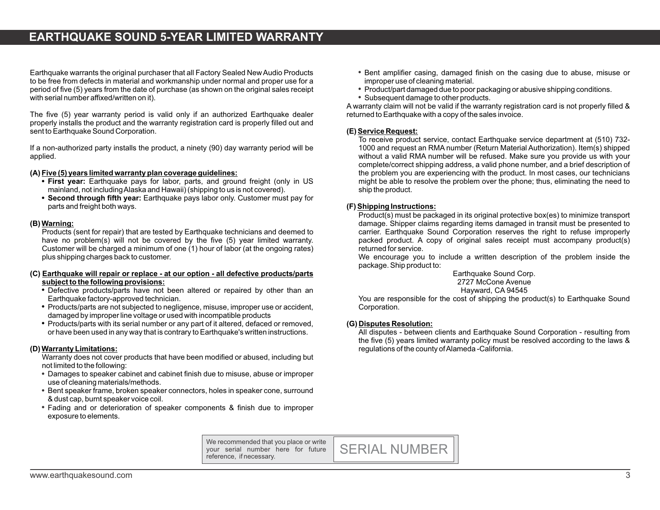## **EARTHQUAKE SOUND 5-YEAR LIMITED WARRANTY**

Earthquake warrants the original purchaser that all Factory Sealed New Audio Products to be free from defects in material and workmanship under normal and proper use for a period of five (5) years from the date of purchase (as shown on the original sales receipt with serial number affixed/written on it).

The five (5) year warranty period is valid only if an authorized Earthquake dealer properly installs the product and the warranty registration card is properly filled out and sent to Earthquake Sound Corporation.

If a non-authorized party installs the product, a ninety (90) day warranty period will be applied.

#### **(A) Five (5) years limited warranty plan coverage guidelines:**

- **First year:** Earthquake pays for labor, parts, and ground freight (only in US mainland, not including Alaska and Hawaii) (shipping to us is not covered).
- **Second through fifth year:** Earthquake pays labor only. Customer must pay for parts and freight both ways.

#### **(B) Warning:**

Products (sent for repair) that are tested by Earthquake technicians and deemed to have no problem(s) will not be covered by the five (5) year limited warranty. Customer will be charged a minimum of one (1) hour of labor (at the ongoing rates) plus shipping charges back to customer.

#### **(C) Earthquake will repair or replace - at our option - all defective products/parts subject to the following provisions:**

- Defective products/parts have not been altered or repaired by other than an Earthquake factory-approved technician.
- Products/parts are not subjected to negligence, misuse, improper use or accident, damaged by improper line voltage or used with incompatible products
- Products/parts with its serial number or any part of it altered, defaced or removed, or have been used in any way that is contrary to Earthquake's written instructions.

#### **(D) Warranty Limitations:**

Warranty does not cover products that have been modified or abused, including but not limited to the following:

- Damages to speaker cabinet and cabinet finish due to misuse, abuse or improper use of cleaning materials/methods.
- Bent speaker frame, broken speaker connectors, holes in speaker cone, surround & dust cap, burnt speaker voice coil.
- Fading and or deterioration of speaker components & finish due to improper exposure to elements.
- Bent amplifier casing, damaged finish on the casing due to abuse, misuse or improper use of cleaning material.
- Product/part damaged due to poor packaging or abusive shipping conditions.
- Subsequent damage to other products.

A warranty claim will not be valid if the warranty registration card is not properly filled & returned to Earthquake with a copy of the sales invoice.

#### **(E) Service Request:**

To receive product service, contact Earthquake service department at (510) 732- 1000 and request an RMA number (Return Material Authorization). Item(s) shipped without a valid RMA number will be refused. Make sure you provide us with your complete/correct shipping address, a valid phone number, and a brief description of the problem you are experiencing with the product. In most cases, our technicians might be able to resolve the problem over the phone; thus, eliminating the need to ship the product.

#### **(F) Shipping Instructions:**

Product(s) must be packaged in its original protective box(es) to minimize transport damage. Shipper claims regarding items damaged in transit must be presented to carrier. Earthquake Sound Corporation reserves the right to refuse improperly packed product. A copy of original sales receipt must accompany product(s) returned for service.

We encourage you to include a written description of the problem inside the package. Ship product to:

> Earthquake Sound Corp. 2727 McCone Avenue Hayward, CA 94545

You are responsible for the cost of shipping the product(s) to Earthquake Sound Corporation.

#### **(G) Disputes Resolution:**

All disputes - between clients and Earthquake Sound Corporation - resulting from the five (5) years limited warranty policy must be resolved according to the laws & regulations of the county of Alameda -California.

We recommended that you place or write your serial number here for future reference, if necessary.

SERIAL NUMBER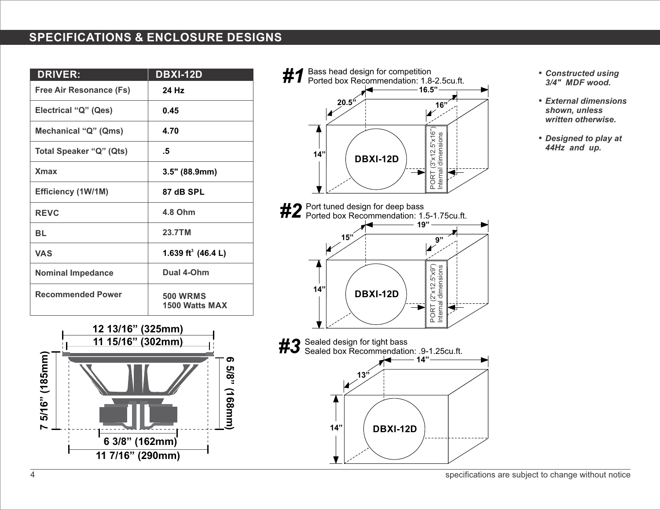# **SPECIFICATIONS & ENCLOSURE DESIGNS**

| <b>DRIVER:</b>           | <b>DBXI-12D</b>                   |
|--------------------------|-----------------------------------|
| Free Air Resonance (Fs)  | 24 Hz                             |
| Electrical "Q" (Qes)     | 0.45                              |
| Mechanical "Q" (Qms)     | 4.70                              |
| Total Speaker "Q" (Qts)  | .5                                |
| <b>X</b> max             | 3.5" (88.9mm)                     |
| Efficiency (1W/1M)       | 87 dB SPL                         |
| <b>REVC</b>              | 4.8 Ohm                           |
| <b>BL</b>                | 23.7TM                            |
| <b>VAS</b>               | 1.639 ft <sup>3</sup> (46.4 L)    |
| <b>Nominal Impedance</b> | Dual 4-Ohm                        |
| <b>Recommended Power</b> | <b>500 WRMS</b><br>1500 Watts MAX |



- *#1* Bass head design for competition Ported box Recommendation: 1.8-2.5cu.ft. **16.5" 20.5" 16"** RT (3"x12.5"x16") PORT (3"x12.5"x16"<br>Internal dimensions Internal dimensions **14" DBXI-12D**  $\mathbb{R}$
- #2 Port tuned design for deep bass<br>#2 Ported box Recommendation: 1.5-1.75cu.ft. **19" 14" 15" 9" DBXI-12D** PORT (2"x12.5"x9")<br>Internal dimensions RT (2"x12.5"x9") Internal dimensions

**DBXI-12D**

**14"**

┡<del>У</del>

*#3* Sealed design for tight bass Sealed box Recommendation: .9-1.25cu.ft.

**13"**

**14"**

- *Constructed using 3/4" MDF wood.*
- *External dimensions shown, unless written otherwise.*
- *Designed to play at 44Hz and up.*

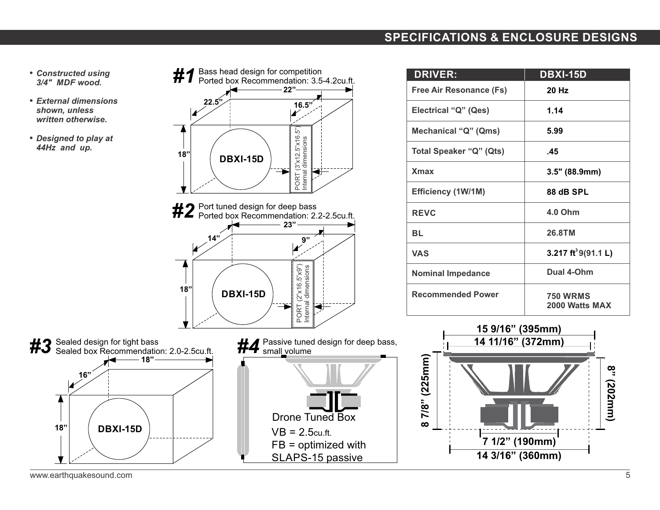### **SPECIFICATIONS & ENCLOSURE DESIGNS**

- *Constructed using 3/4" MDF wood.*
- *External dimensions shown, unless written otherwise.*
- *Designed to play at 44Hz and up.*

**#1** Bass head design for competition<br>**#1** Ported box Recommendation: 3.5-4.2cu.ft. **22" 22.5" 16.5"** RT (3"x12.5"x16.5") PORT (3"x12.5"x16.5")<br>Internal dimensions Internal dimensions **18" DBXI-15D**  $\mathbb{R}^{\dagger}$ **#2** Port tuned design for deep bass<br>**#2** Ported box Recommendation: 2.2-2.5cu.ft. **23" 14" 9"** PORT (2"x16.5"x9")<br>Internal dimensions RT (2"x16.5"x9") Internal dimensions **18" DBXI-15D**

| <b>DRIVER:</b>                 | <b>DBXI-15D</b>                   |
|--------------------------------|-----------------------------------|
| Free Air Resonance (Fs)        | 20 Hz                             |
| Electrical "Q" (Qes)           | 1.14                              |
| Mechanical "Q" (Qms)           | 5.99                              |
| <b>Total Speaker "Q" (Qts)</b> | .45                               |
| <b>X</b> max                   | 3.5" (88.9mm)                     |
| Efficiency (1W/1M)             | 88 dB SPL                         |
| <b>REVC</b>                    | 4.0 Ohm                           |
| <b>BL</b>                      | 26.8TM                            |
| <b>VAS</b>                     | 3.217 $ft^39(91.1 L)$             |
| <b>Nominal Impedance</b>       | Dual 4-Ohm                        |
| <b>Recommended Power</b>       | <b>750 WRMS</b><br>2000 Watts MAX |

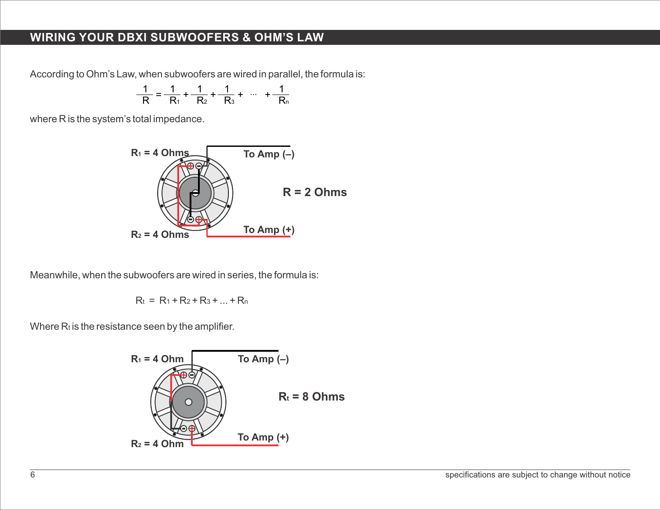# **WIRING YOUR DBXI SUBWOOFERS & OHM'S LAW**

According to Ohm's Law, when subwoofers are wired in parallel, the formula is:

$$
\frac{1}{R} = \frac{1}{R_1} + \frac{1}{R_2} + \frac{1}{R_3} + \cdots + \frac{1}{R_n}
$$

where R is the system's total impedance.



Meanwhile, when the subwoofers are wired in series, the formula is:

$$
R_t = R_1 + R_2 + R_3 + ... + R_n
$$

Where  $R_t$  is the resistance seen by the amplifier.

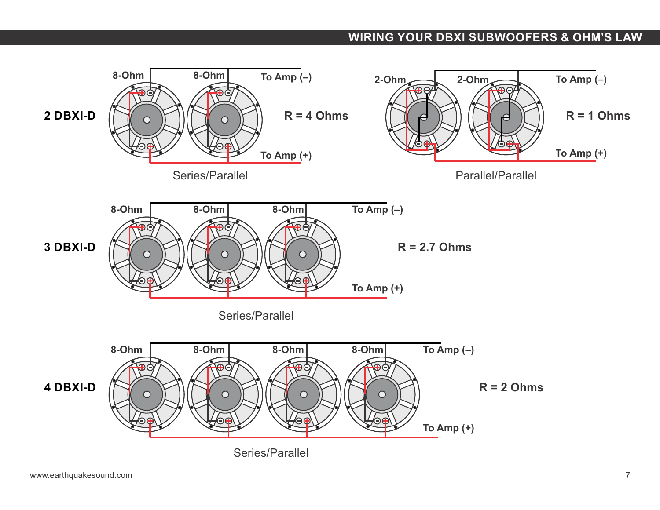# **WIRING YOUR DBXI SUBWOOFERS & OHM'S LAW**